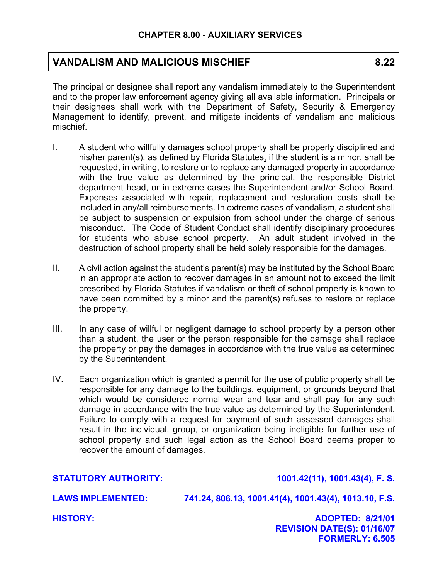## **VANDALISM AND MALICIOUS MISCHIEF 8.22**

The principal or designee shall report any vandalism immediately to the Superintendent and to the proper law enforcement agency giving all available information. Principals or their designees shall work with the Department of Safety, Security & Emergency Management to identify, prevent, and mitigate incidents of vandalism and malicious mischief.

- I. A student who willfully damages school property shall be properly disciplined and his/her parent(s), as defined by Florida Statutes, if the student is a minor, shall be requested, in writing, to restore or to replace any damaged property in accordance with the true value as determined by the principal, the responsible District department head, or in extreme cases the Superintendent and/or School Board. Expenses associated with repair, replacement and restoration costs shall be included in any/all reimbursements. In extreme cases of vandalism, a student shall be subject to suspension or expulsion from school under the charge of serious misconduct. The Code of Student Conduct shall identify disciplinary procedures for students who abuse school property. An adult student involved in the destruction of school property shall be held solely responsible for the damages.
- II. A civil action against the student's parent(s) may be instituted by the School Board in an appropriate action to recover damages in an amount not to exceed the limit prescribed by Florida Statutes if vandalism or theft of school property is known to have been committed by a minor and the parent(s) refuses to restore or replace the property.
- III. In any case of willful or negligent damage to school property by a person other than a student, the user or the person responsible for the damage shall replace the property or pay the damages in accordance with the true value as determined by the Superintendent.
- IV. Each organization which is granted a permit for the use of public property shall be responsible for any damage to the buildings, equipment, or grounds beyond that which would be considered normal wear and tear and shall pay for any such damage in accordance with the true value as determined by the Superintendent. Failure to comply with a request for payment of such assessed damages shall result in the individual, group, or organization being ineligible for further use of school property and such legal action as the School Board deems proper to recover the amount of damages.

**STATUTORY AUTHORITY: 1001.42(11), 1001.43(4), F. S.** 

**LAWS IMPLEMENTED: 741.24, 806.13, 1001.41(4), 1001.43(4), 1013.10, F.S.** 

**HISTORY: ADOPTED: 8/21/01 REVISION DATE(S): 01/16/07 FORMERLY: 6.505**